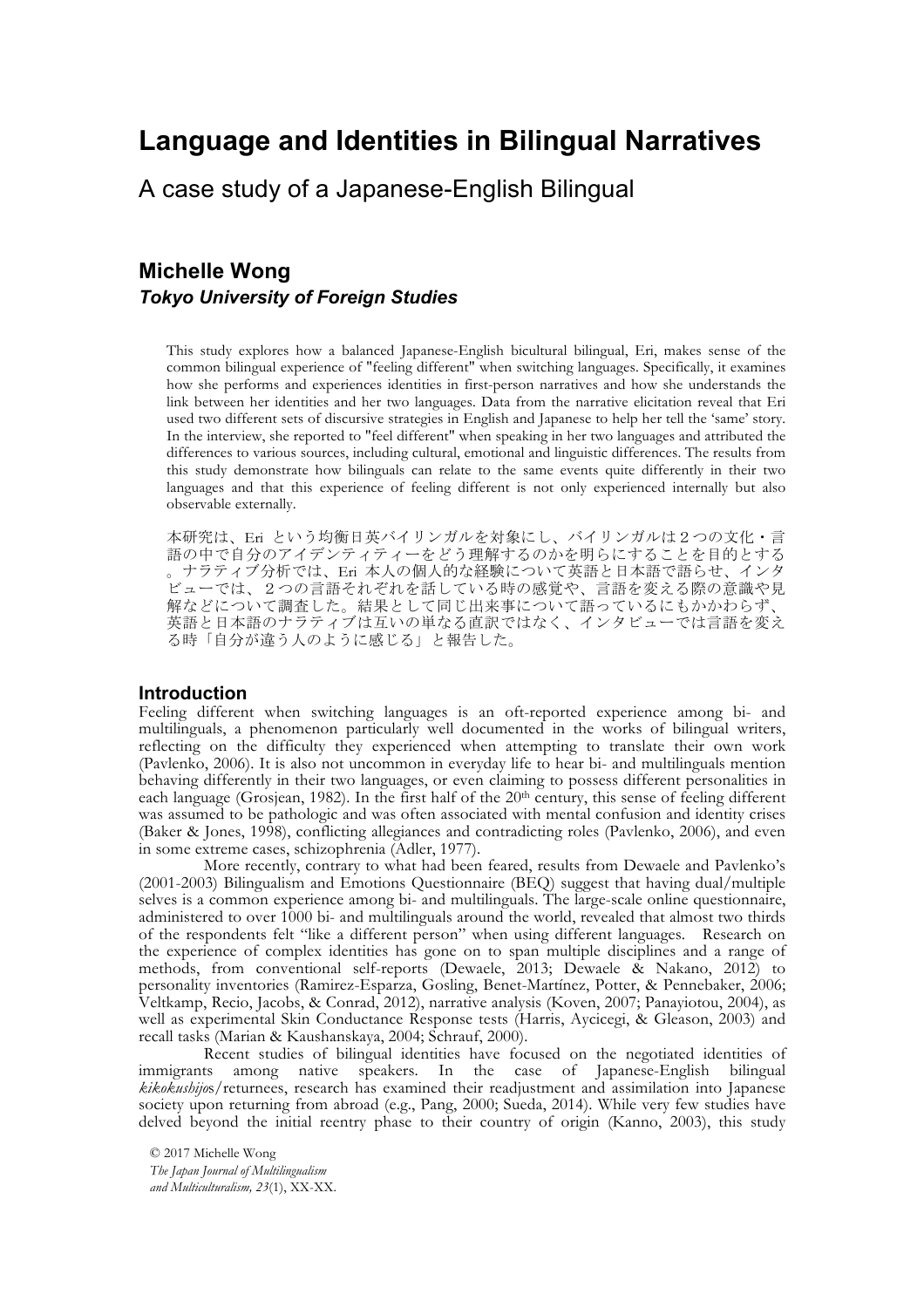# **Language and Identities in Bilingual Narratives**

A case study of a Japanese-English Bilingual

# **Michelle Wong** *Tokyo University of Foreign Studies*

This study explores how a balanced Japanese-English bicultural bilingual, Eri, makes sense of the common bilingual experience of "feeling different" when switching languages. Specifically, it examines how she performs and experiences identities in first-person narratives and how she understands the link between her identities and her two languages. Data from the narrative elicitation reveal that Eri used two different sets of discursive strategies in English and Japanese to help her tell the 'same' story. In the interview, she reported to "feel different" when speaking in her two languages and attributed the differences to various sources, including cultural, emotional and linguistic differences. The results from this study demonstrate how bilinguals can relate to the same events quite differently in their two languages and that this experience of feeling different is not only experienced internally but also observable externally.

本研究は、Eri という均衡日英バイリンガルを対象にし、バイリンガルは2つの文化・言 語の中で自分のアイデンティティーをどう理解するのかを明らにすることを目的とする 。ナラティブ分析では、Eri 本人の個人的な経験について英語と日本語で語らせ、インタ ビューでは、2つの言語それぞれを話している時の感覚や、言語を変える際の意識や見 解などについて調査した。結果として同じ出来事について語っているにもかかわらず、 英語と日本語のナラティブは互いの単なる直訳ではなく、インタビューでは言語を変え る時「自分が違う人のように感じる」と報告した。

# **Introduction**

Feeling different when switching languages is an oft-reported experience among bi- and multilinguals, a phenomenon particularly well documented in the works of bilingual writers, reflecting on the difficulty they experienced when attempting to translate their own work (Pavlenko, 2006). It is also not uncommon in everyday life to hear bi- and multilinguals mention behaving differently in their two languages, or even claiming to possess different personalities in each language (Grosjean, 1982). In the first half of the  $20<sup>th</sup>$  century, this sense of feeling different was assumed to be pathologic and was often associated with mental confusion and identity crises (Baker & Jones, 1998), conflicting allegiances and contradicting roles (Pavlenko, 2006), and even in some extreme cases, schizophrenia (Adler, 1977).

More recently, contrary to what had been feared, results from Dewaele and Pavlenko's (2001-2003) Bilingualism and Emotions Questionnaire (BEQ) suggest that having dual/multiple selves is a common experience among bi- and multilinguals. The large-scale online questionnaire, administered to over 1000 bi- and multilinguals around the world, revealed that almost two thirds of the respondents felt "like a different person" when using different languages. Research on the experience of complex identities has gone on to span multiple disciplines and a range of methods, from conventional self-reports (Dewaele, 2013; Dewaele & Nakano, 2012) to personality inventories (Ramirez-Esparza, Gosling, Benet-Martínez, Potter, & Pennebaker, 2006; Veltkamp, Recio, Jacobs, & Conrad, 2012), narrative analysis (Koven, 2007; Panayiotou, 2004), as well as experimental Skin Conductance Response tests (Harris, Aycicegi, & Gleason, 2003) and recall tasks (Marian & Kaushanskaya, 2004; Schrauf, 2000).

Recent studies of bilingual identities have focused on the negotiated identities of immigrants among native speakers. In the case of Japanese-English bilingual *kikokushijo*s/returnees, research has examined their readjustment and assimilation into Japanese society upon returning from abroad (e.g., Pang, 2000; Sueda, 2014). While very few studies have delved beyond the initial reentry phase to their country of origin (Kanno, 2003), this study

© 2017 Michelle Wong *The Japan Journal of Multilingualism and Multiculturalism, 23*(1), XX-XX.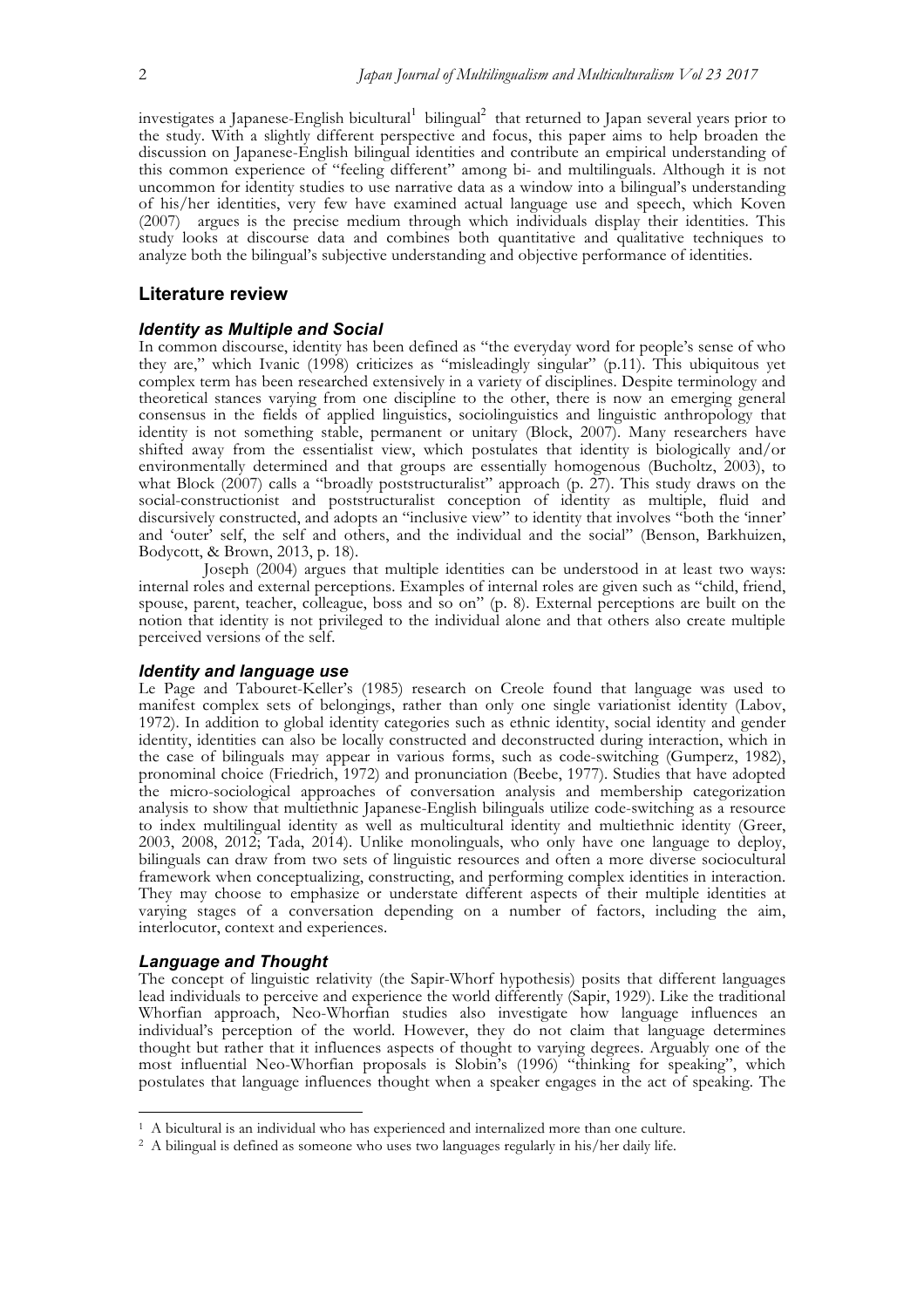investigates a Japanese-English bicultural<sup>1</sup> bilingual<sup>2</sup> that returned to Japan several years prior to the study. With a slightly different perspective and focus, this paper aims to help broaden the discussion on Japanese-English bilingual identities and contribute an empirical understanding of this common experience of "feeling different" among bi- and multilinguals. Although it is not uncommon for identity studies to use narrative data as a window into a bilingual's understanding of his/her identities, very few have examined actual language use and speech, which Koven (2007) argues is the precise medium through which individuals display their identities. This study looks at discourse data and combines both quantitative and qualitative techniques to analyze both the bilingual's subjective understanding and objective performance of identities.

# **Literature review**

#### *Identity as Multiple and Social*

In common discourse, identity has been defined as "the everyday word for people's sense of who they are," which Ivanic (1998) criticizes as "misleadingly singular" (p.11). This ubiquitous yet complex term has been researched extensively in a variety of disciplines. Despite terminology and theoretical stances varying from one discipline to the other, there is now an emerging general consensus in the fields of applied linguistics, sociolinguistics and linguistic anthropology that identity is not something stable, permanent or unitary (Block, 2007). Many researchers have shifted away from the essentialist view, which postulates that identity is biologically and/or environmentally determined and that groups are essentially homogenous (Bucholtz, 2003), to what Block (2007) calls a "broadly poststructuralist" approach (p. 27). This study draws on the social-constructionist and poststructuralist conception of identity as multiple, fluid and discursively constructed, and adopts an "inclusive view" to identity that involves "both the 'inner' and 'outer' self, the self and others, and the individual and the social" (Benson, Barkhuizen, Bodycott, & Brown, 2013, p. 18).

Joseph (2004) argues that multiple identities can be understood in at least two ways: internal roles and external perceptions. Examples of internal roles are given such as "child, friend, spouse, parent, teacher, colleague, boss and so on" (p. 8). External perceptions are built on the notion that identity is not privileged to the individual alone and that others also create multiple perceived versions of the self.

#### *Identity and language use*

Le Page and Tabouret-Keller's (1985) research on Creole found that language was used to manifest complex sets of belongings, rather than only one single variationist identity (Labov, 1972). In addition to global identity categories such as ethnic identity, social identity and gender identity, identities can also be locally constructed and deconstructed during interaction, which in the case of bilinguals may appear in various forms, such as code-switching (Gumperz, 1982), pronominal choice (Friedrich, 1972) and pronunciation (Beebe, 1977). Studies that have adopted the micro-sociological approaches of conversation analysis and membership categorization analysis to show that multiethnic Japanese-English bilinguals utilize code-switching as a resource to index multilingual identity as well as multicultural identity and multiethnic identity (Greer, 2003, 2008, 2012; Tada, 2014). Unlike monolinguals, who only have one language to deploy, bilinguals can draw from two sets of linguistic resources and often a more diverse sociocultural framework when conceptualizing, constructing, and performing complex identities in interaction. They may choose to emphasize or understate different aspects of their multiple identities at varying stages of a conversation depending on a number of factors, including the aim, interlocutor, context and experiences.

#### *Language and Thought*

The concept of linguistic relativity (the Sapir-Whorf hypothesis) posits that different languages lead individuals to perceive and experience the world differently (Sapir, 1929). Like the traditional Whorfian approach, Neo-Whorfian studies also investigate how language influences an individual's perception of the world. However, they do not claim that language determines thought but rather that it influences aspects of thought to varying degrees. Arguably one of the most influential Neo-Whorfian proposals is Slobin's (1996) "thinking for speaking", which postulates that language influences thought when a speaker engages in the act of speaking. The

 <sup>1</sup> A bicultural is an individual who has experienced and internalized more than one culture.

<sup>2</sup> A bilingual is defined as someone who uses two languages regularly in his/her daily life.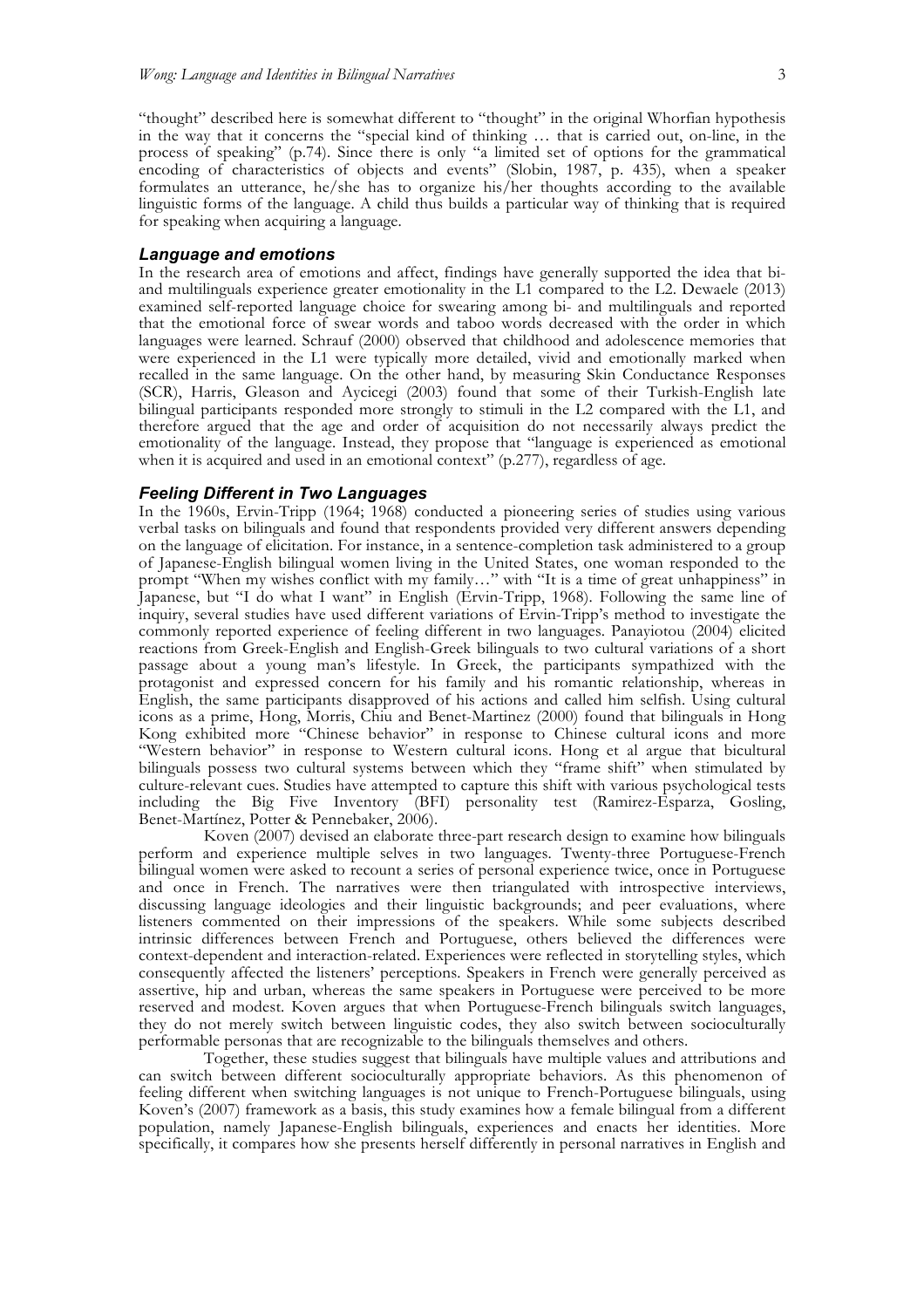"thought" described here is somewhat different to "thought" in the original Whorfian hypothesis in the way that it concerns the "special kind of thinking … that is carried out, on-line, in the process of speaking" (p.74). Since there is only "a limited set of options for the grammatical encoding of characteristics of objects and events" (Slobin, 1987, p. 435), when a speaker formulates an utterance, he/she has to organize his/her thoughts according to the available linguistic forms of the language. A child thus builds a particular way of thinking that is required for speaking when acquiring a language.

#### *Language and emotions*

In the research area of emotions and affect, findings have generally supported the idea that biand multilinguals experience greater emotionality in the L1 compared to the L2. Dewaele (2013) examined self-reported language choice for swearing among bi- and multilinguals and reported that the emotional force of swear words and taboo words decreased with the order in which languages were learned. Schrauf (2000) observed that childhood and adolescence memories that were experienced in the L1 were typically more detailed, vivid and emotionally marked when recalled in the same language. On the other hand, by measuring Skin Conductance Responses (SCR), Harris, Gleason and Aycicegi (2003) found that some of their Turkish-English late bilingual participants responded more strongly to stimuli in the L2 compared with the L1, and therefore argued that the age and order of acquisition do not necessarily always predict the emotionality of the language. Instead, they propose that "language is experienced as emotional when it is acquired and used in an emotional context" (p.277), regardless of age.

#### *Feeling Different in Two Languages*

In the 1960s, Ervin-Tripp (1964; 1968) conducted a pioneering series of studies using various verbal tasks on bilinguals and found that respondents provided very different answers depending on the language of elicitation. For instance, in a sentence-completion task administered to a group of Japanese-English bilingual women living in the United States, one woman responded to the prompt "When my wishes conflict with my family…" with "It is a time of great unhappiness" in Japanese, but "I do what I want" in English (Ervin-Tripp, 1968). Following the same line of inquiry, several studies have used different variations of Ervin-Tripp's method to investigate the commonly reported experience of feeling different in two languages. Panayiotou (2004) elicited reactions from Greek-English and English-Greek bilinguals to two cultural variations of a short passage about a young man's lifestyle. In Greek, the participants sympathized with the protagonist and expressed concern for his family and his romantic relationship, whereas in English, the same participants disapproved of his actions and called him selfish. Using cultural icons as a prime, Hong, Morris, Chiu and Benet-Martinez (2000) found that bilinguals in Hong Kong exhibited more "Chinese behavior" in response to Chinese cultural icons and more "Western behavior" in response to Western cultural icons. Hong et al argue that bicultural bilinguals possess two cultural systems between which they "frame shift" when stimulated by culture-relevant cues. Studies have attempted to capture this shift with various psychological tests including the Big Five Inventory (BFI) personality test (Ramirez-Esparza, Gosling, Benet-Martínez, Potter & Pennebaker, 2006).

Koven (2007) devised an elaborate three-part research design to examine how bilinguals perform and experience multiple selves in two languages. Twenty-three Portuguese-French bilingual women were asked to recount a series of personal experience twice, once in Portuguese and once in French. The narratives were then triangulated with introspective interviews, discussing language ideologies and their linguistic backgrounds; and peer evaluations, where listeners commented on their impressions of the speakers. While some subjects described intrinsic differences between French and Portuguese, others believed the differences were context-dependent and interaction-related. Experiences were reflected in storytelling styles, which consequently affected the listeners' perceptions. Speakers in French were generally perceived as assertive, hip and urban, whereas the same speakers in Portuguese were perceived to be more reserved and modest. Koven argues that when Portuguese-French bilinguals switch languages, they do not merely switch between linguistic codes, they also switch between socioculturally performable personas that are recognizable to the bilinguals themselves and others.

Together, these studies suggest that bilinguals have multiple values and attributions and can switch between different socioculturally appropriate behaviors. As this phenomenon of feeling different when switching languages is not unique to French-Portuguese bilinguals, using Koven's (2007) framework as a basis, this study examines how a female bilingual from a different population, namely Japanese-English bilinguals, experiences and enacts her identities. More specifically, it compares how she presents herself differently in personal narratives in English and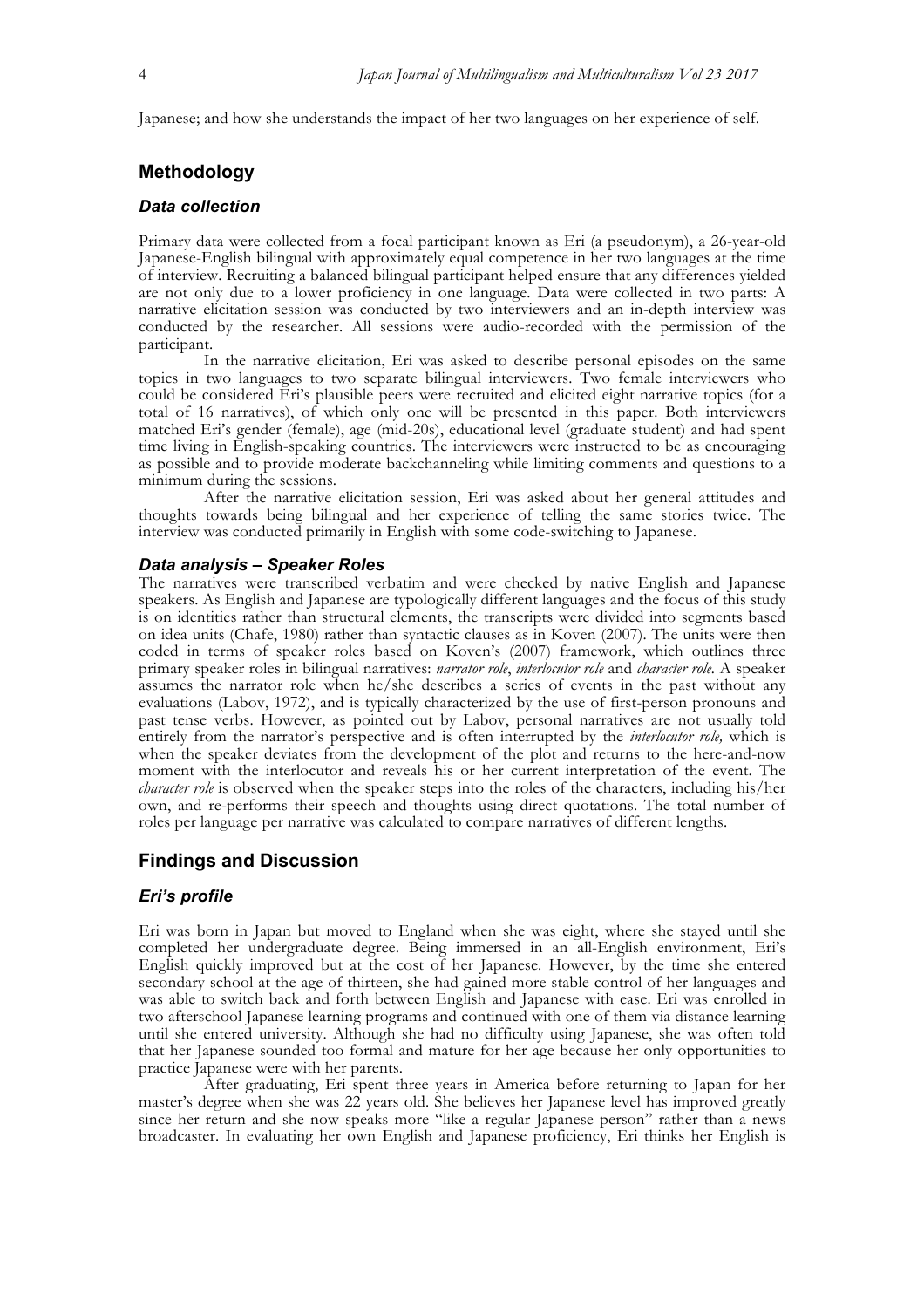Japanese; and how she understands the impact of her two languages on her experience of self.

# **Methodology**

# *Data collection*

Primary data were collected from a focal participant known as Eri (a pseudonym), a 26-year-old Japanese-English bilingual with approximately equal competence in her two languages at the time of interview. Recruiting a balanced bilingual participant helped ensure that any differences yielded are not only due to a lower proficiency in one language. Data were collected in two parts: A narrative elicitation session was conducted by two interviewers and an in-depth interview was conducted by the researcher. All sessions were audio-recorded with the permission of the participant.

In the narrative elicitation, Eri was asked to describe personal episodes on the same topics in two languages to two separate bilingual interviewers. Two female interviewers who could be considered Eri's plausible peers were recruited and elicited eight narrative topics (for a total of 16 narratives), of which only one will be presented in this paper. Both interviewers matched Eri's gender (female), age (mid-20s), educational level (graduate student) and had spent time living in English-speaking countries. The interviewers were instructed to be as encouraging as possible and to provide moderate backchanneling while limiting comments and questions to a minimum during the sessions.

After the narrative elicitation session, Eri was asked about her general attitudes and thoughts towards being bilingual and her experience of telling the same stories twice. The interview was conducted primarily in English with some code-switching to Japanese.

#### *Data analysis – Speaker Roles*

The narratives were transcribed verbatim and were checked by native English and Japanese speakers. As English and Japanese are typologically different languages and the focus of this study is on identities rather than structural elements, the transcripts were divided into segments based on idea units (Chafe, 1980) rather than syntactic clauses as in Koven (2007). The units were then coded in terms of speaker roles based on Koven's (2007) framework, which outlines three primary speaker roles in bilingual narratives: *narrator role*, *interlocutor role* and *character role.* A speaker assumes the narrator role when he/she describes a series of events in the past without any evaluations (Labov, 1972), and is typically characterized by the use of first-person pronouns and past tense verbs. However, as pointed out by Labov, personal narratives are not usually told entirely from the narrator's perspective and is often interrupted by the *interlocutor role,* which is when the speaker deviates from the development of the plot and returns to the here-and-now moment with the interlocutor and reveals his or her current interpretation of the event. The *character role* is observed when the speaker steps into the roles of the characters, including his/her own, and re-performs their speech and thoughts using direct quotations. The total number of roles per language per narrative was calculated to compare narratives of different lengths.

# **Findings and Discussion**

# *Eri's profile*

Eri was born in Japan but moved to England when she was eight, where she stayed until she completed her undergraduate degree. Being immersed in an all-English environment, Eri's English quickly improved but at the cost of her Japanese. However, by the time she entered secondary school at the age of thirteen, she had gained more stable control of her languages and was able to switch back and forth between English and Japanese with ease. Eri was enrolled in two afterschool Japanese learning programs and continued with one of them via distance learning until she entered university. Although she had no difficulty using Japanese, she was often told that her Japanese sounded too formal and mature for her age because her only opportunities to practice Japanese were with her parents.

After graduating, Eri spent three years in America before returning to Japan for her master's degree when she was 22 years old. She believes her Japanese level has improved greatly since her return and she now speaks more "like a regular Japanese person" rather than a news broadcaster. In evaluating her own English and Japanese proficiency, Eri thinks her English is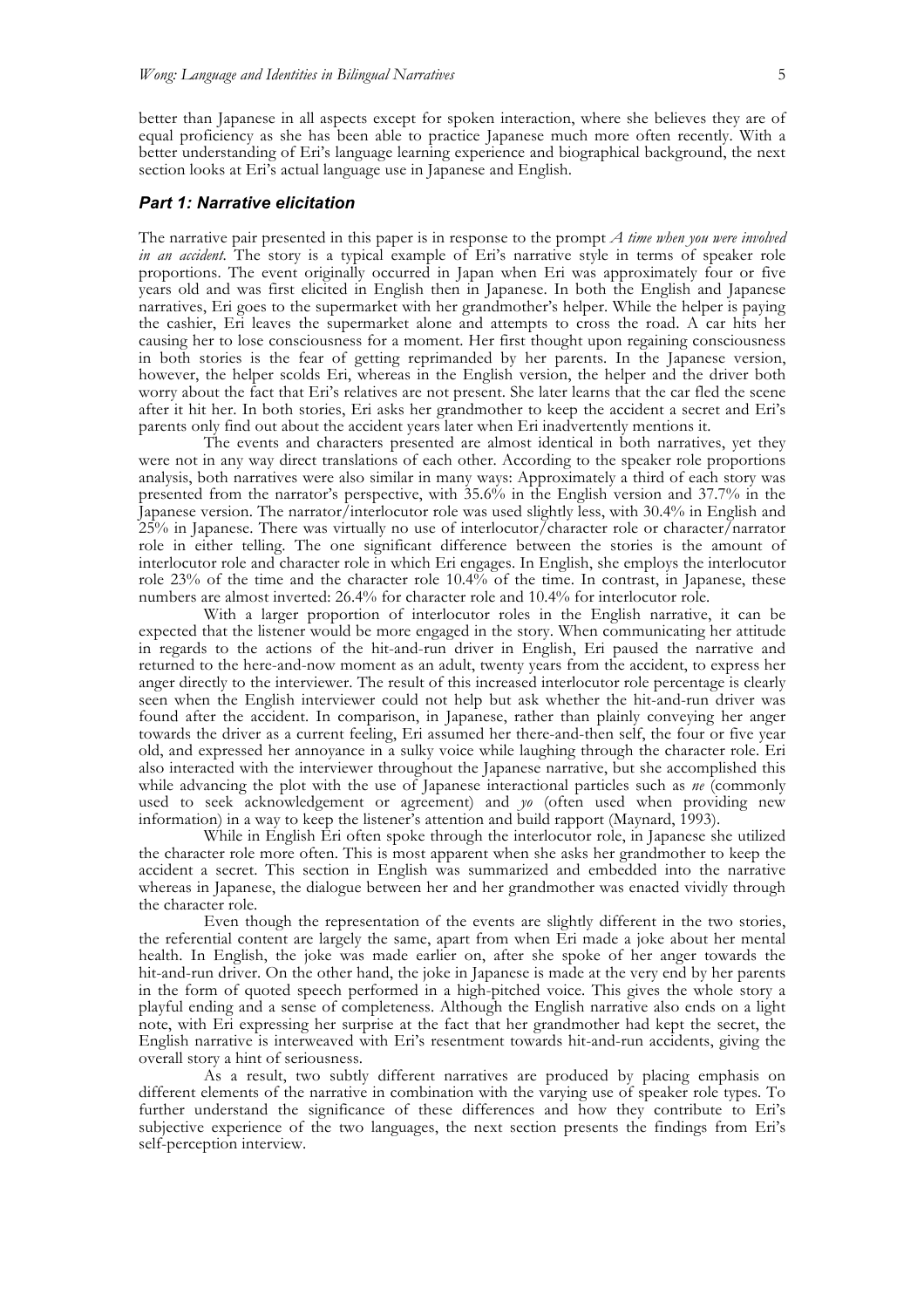better than Japanese in all aspects except for spoken interaction, where she believes they are of equal proficiency as she has been able to practice Japanese much more often recently. With a better understanding of Eri's language learning experience and biographical background, the next section looks at Eri's actual language use in Japanese and English.

#### *Part 1: Narrative elicitation*

The narrative pair presented in this paper is in response to the prompt *A time when you were involved in an accident*. The story is a typical example of Eri's narrative style in terms of speaker role proportions. The event originally occurred in Japan when Eri was approximately four or five years old and was first elicited in English then in Japanese. In both the English and Japanese narratives, Eri goes to the supermarket with her grandmother's helper. While the helper is paying the cashier, Eri leaves the supermarket alone and attempts to cross the road. A car hits her causing her to lose consciousness for a moment. Her first thought upon regaining consciousness in both stories is the fear of getting reprimanded by her parents. In the Japanese version, however, the helper scolds Eri, whereas in the English version, the helper and the driver both worry about the fact that Eri's relatives are not present. She later learns that the car fled the scene after it hit her. In both stories, Eri asks her grandmother to keep the accident a secret and Eri's parents only find out about the accident years later when Eri inadvertently mentions it.

The events and characters presented are almost identical in both narratives, yet they were not in any way direct translations of each other. According to the speaker role proportions analysis, both narratives were also similar in many ways: Approximately a third of each story was presented from the narrator's perspective, with 35.6% in the English version and 37.7% in the Japanese version. The narrator/interlocutor role was used slightly less, with 30.4% in English and  $25\%$  in Japanese. There was virtually no use of interlocutor/character role or character/narrator role in either telling. The one significant difference between the stories is the amount of interlocutor role and character role in which Eri engages. In English, she employs the interlocutor role 23% of the time and the character role 10.4% of the time. In contrast, in Japanese, these numbers are almost inverted: 26.4% for character role and 10.4% for interlocutor role.

With a larger proportion of interlocutor roles in the English narrative, it can be expected that the listener would be more engaged in the story. When communicating her attitude in regards to the actions of the hit-and-run driver in English, Eri paused the narrative and returned to the here-and-now moment as an adult, twenty years from the accident, to express her anger directly to the interviewer. The result of this increased interlocutor role percentage is clearly seen when the English interviewer could not help but ask whether the hit-and-run driver was found after the accident. In comparison, in Japanese, rather than plainly conveying her anger towards the driver as a current feeling, Eri assumed her there-and-then self, the four or five year old, and expressed her annoyance in a sulky voice while laughing through the character role. Eri also interacted with the interviewer throughout the Japanese narrative, but she accomplished this while advancing the plot with the use of Japanese interactional particles such as *ne* (commonly used to seek acknowledgement or agreement) and *yo* (often used when providing new information) in a way to keep the listener's attention and build rapport (Maynard, 1993).

While in English Eri often spoke through the interlocutor role, in Japanese she utilized the character role more often. This is most apparent when she asks her grandmother to keep the accident a secret. This section in English was summarized and embedded into the narrative whereas in Japanese, the dialogue between her and her grandmother was enacted vividly through the character role.

Even though the representation of the events are slightly different in the two stories, the referential content are largely the same, apart from when Eri made a joke about her mental health. In English, the joke was made earlier on, after she spoke of her anger towards the hit-and-run driver. On the other hand, the joke in Japanese is made at the very end by her parents in the form of quoted speech performed in a high-pitched voice. This gives the whole story a playful ending and a sense of completeness. Although the English narrative also ends on a light note, with Eri expressing her surprise at the fact that her grandmother had kept the secret, the English narrative is interweaved with Eri's resentment towards hit-and-run accidents, giving the overall story a hint of seriousness.

As a result, two subtly different narratives are produced by placing emphasis on different elements of the narrative in combination with the varying use of speaker role types. To further understand the significance of these differences and how they contribute to Eri's subjective experience of the two languages, the next section presents the findings from Eri's self-perception interview.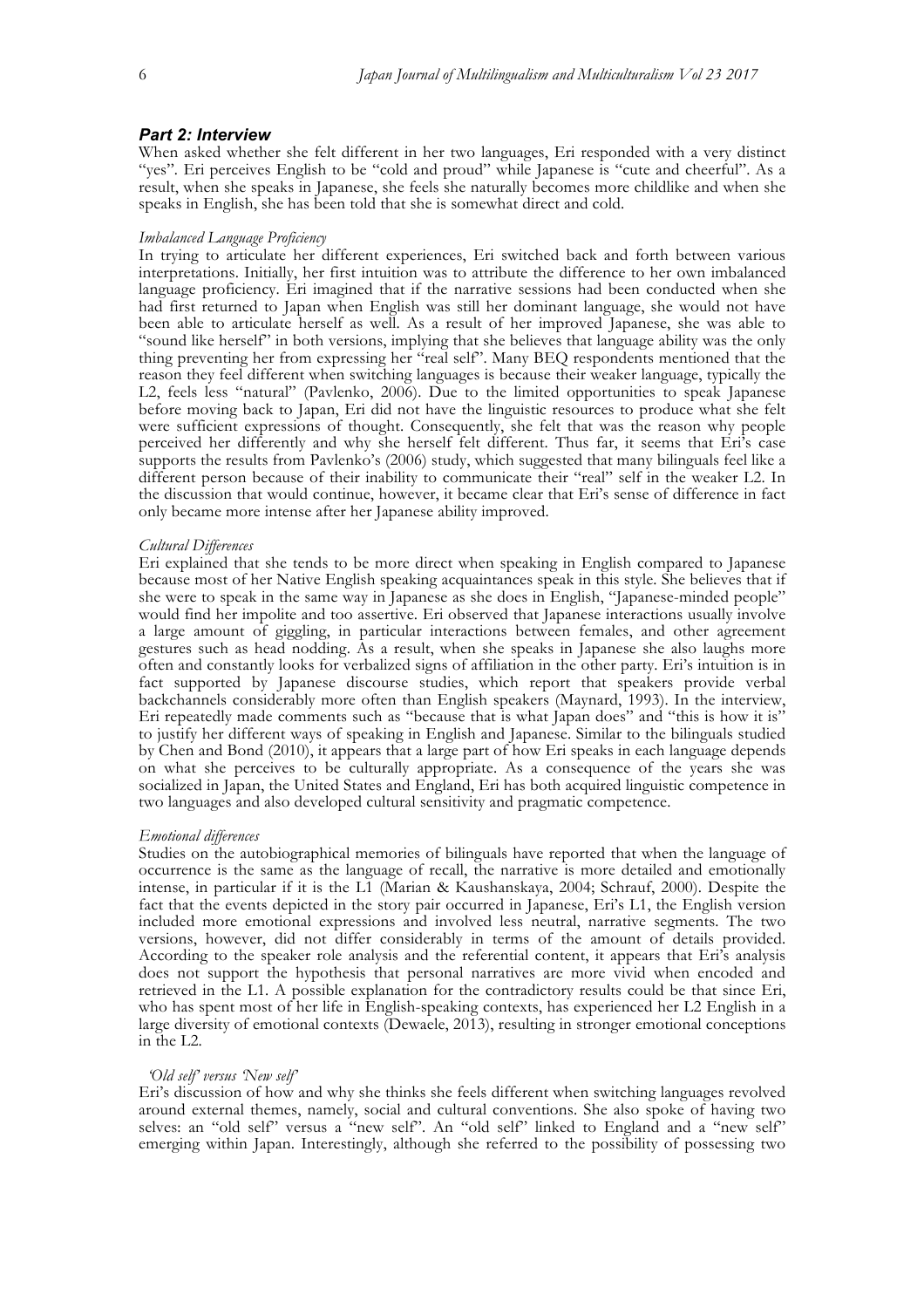#### *Part 2: Interview*

When asked whether she felt different in her two languages, Eri responded with a very distinct "yes"*.* Eri perceives English to be "cold and proud" while Japanese is "cute and cheerful". As a result, when she speaks in Japanese, she feels she naturally becomes more childlike and when she speaks in English, she has been told that she is somewhat direct and cold.

#### *Imbalanced Language Proficiency*

In trying to articulate her different experiences, Eri switched back and forth between various interpretations. Initially, her first intuition was to attribute the difference to her own imbalanced language proficiency. Eri imagined that if the narrative sessions had been conducted when she had first returned to Japan when English was still her dominant language, she would not have been able to articulate herself as well. As a result of her improved Japanese, she was able to "sound like herself" in both versions, implying that she believes that language ability was the only thing preventing her from expressing her "real self". Many BEQ respondents mentioned that the reason they feel different when switching languages is because their weaker language, typically the L2, feels less "natural" (Pavlenko, 2006). Due to the limited opportunities to speak Japanese before moving back to Japan, Eri did not have the linguistic resources to produce what she felt were sufficient expressions of thought. Consequently, she felt that was the reason why people perceived her differently and why she herself felt different. Thus far, it seems that Eri's case supports the results from Pavlenko's (2006) study, which suggested that many bilinguals feel like a different person because of their inability to communicate their "real" self in the weaker L2. In the discussion that would continue, however, it became clear that Eri's sense of difference in fact only became more intense after her Japanese ability improved.

#### *Cultural Differences*

Eri explained that she tends to be more direct when speaking in English compared to Japanese because most of her Native English speaking acquaintances speak in this style. She believes that if she were to speak in the same way in Japanese as she does in English, "Japanese-minded people" would find her impolite and too assertive. Eri observed that Japanese interactions usually involve a large amount of giggling, in particular interactions between females, and other agreement gestures such as head nodding. As a result, when she speaks in Japanese she also laughs more often and constantly looks for verbalized signs of affiliation in the other party. Eri's intuition is in fact supported by Japanese discourse studies, which report that speakers provide verbal backchannels considerably more often than English speakers (Maynard, 1993). In the interview, Eri repeatedly made comments such as "because that is what Japan does" and "this is how it is" to justify her different ways of speaking in English and Japanese. Similar to the bilinguals studied by Chen and Bond (2010), it appears that a large part of how Eri speaks in each language depends on what she perceives to be culturally appropriate. As a consequence of the years she was socialized in Japan, the United States and England, Eri has both acquired linguistic competence in two languages and also developed cultural sensitivity and pragmatic competence.

#### *Emotional differences*

Studies on the autobiographical memories of bilinguals have reported that when the language of occurrence is the same as the language of recall, the narrative is more detailed and emotionally intense, in particular if it is the L1 (Marian & Kaushanskaya, 2004; Schrauf, 2000). Despite the fact that the events depicted in the story pair occurred in Japanese, Eri's L1, the English version included more emotional expressions and involved less neutral, narrative segments. The two versions, however, did not differ considerably in terms of the amount of details provided. According to the speaker role analysis and the referential content, it appears that Eri's analysis does not support the hypothesis that personal narratives are more vivid when encoded and retrieved in the L1. A possible explanation for the contradictory results could be that since Eri, who has spent most of her life in English-speaking contexts, has experienced her L2 English in a large diversity of emotional contexts (Dewaele, 2013), resulting in stronger emotional conceptions in the L2.

#### *'Old self' versus 'New self'*

Eri's discussion of how and why she thinks she feels different when switching languages revolved around external themes, namely, social and cultural conventions. She also spoke of having two selves: an "old self" versus a "new self". An "old self" linked to England and a "new self" emerging within Japan. Interestingly, although she referred to the possibility of possessing two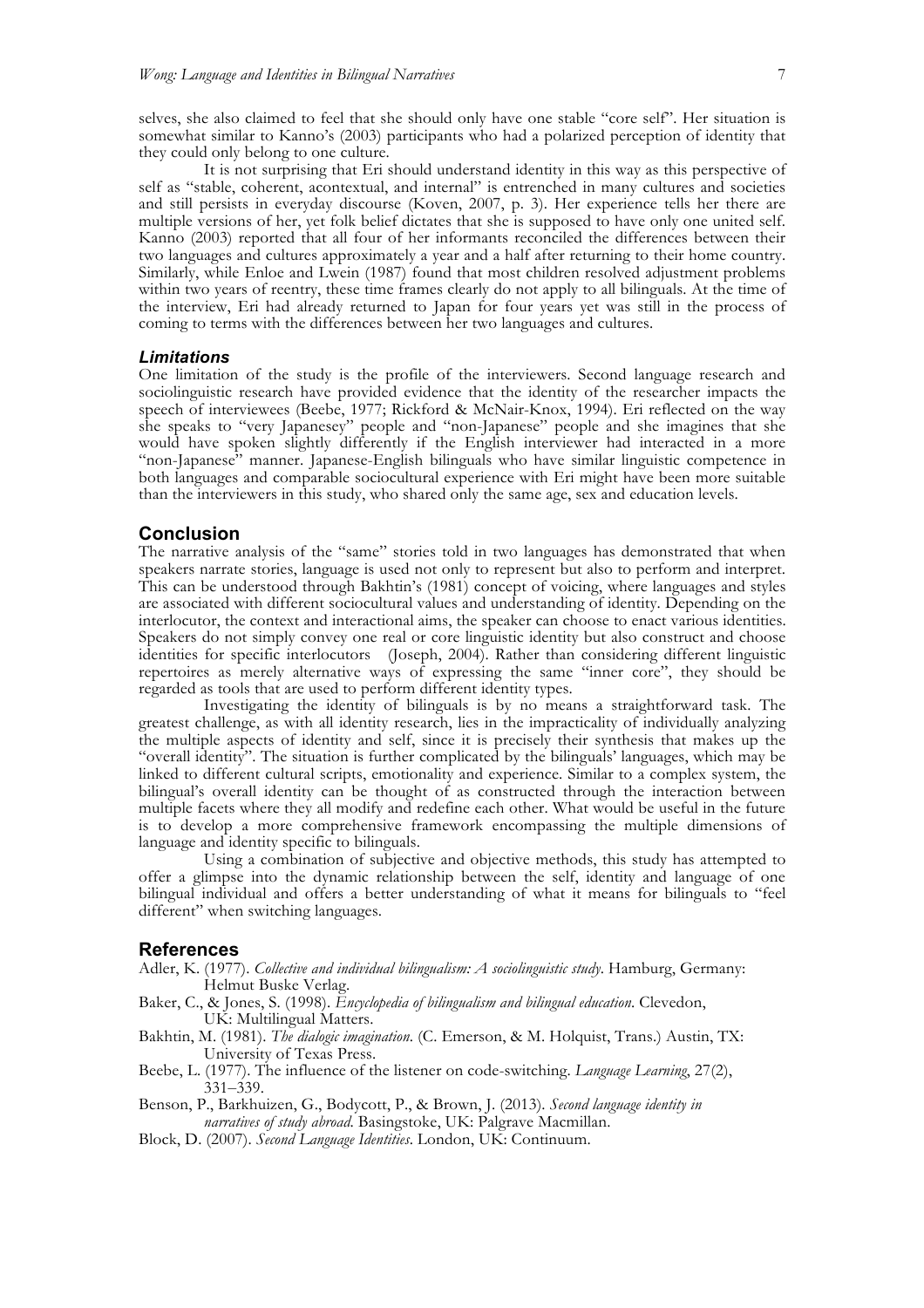selves, she also claimed to feel that she should only have one stable "core self". Her situation is somewhat similar to Kanno's (2003) participants who had a polarized perception of identity that they could only belong to one culture.

It is not surprising that Eri should understand identity in this way as this perspective of self as "stable, coherent, acontextual, and internal" is entrenched in many cultures and societies and still persists in everyday discourse (Koven, 2007, p. 3). Her experience tells her there are multiple versions of her, yet folk belief dictates that she is supposed to have only one united self. Kanno (2003) reported that all four of her informants reconciled the differences between their two languages and cultures approximately a year and a half after returning to their home country. Similarly, while Enloe and Lwein (1987) found that most children resolved adjustment problems within two years of reentry, these time frames clearly do not apply to all bilinguals. At the time of the interview, Eri had already returned to Japan for four years yet was still in the process of coming to terms with the differences between her two languages and cultures.

#### *Limitations*

One limitation of the study is the profile of the interviewers. Second language research and sociolinguistic research have provided evidence that the identity of the researcher impacts the speech of interviewees (Beebe, 1977; Rickford & McNair-Knox, 1994). Eri reflected on the way she speaks to "very Japanesey" people and "non-Japanese" people and she imagines that she would have spoken slightly differently if the English interviewer had interacted in a more "non-Japanese" manner. Japanese-English bilinguals who have similar linguistic competence in both languages and comparable sociocultural experience with Eri might have been more suitable than the interviewers in this study, who shared only the same age, sex and education levels.

# **Conclusion**

The narrative analysis of the "same" stories told in two languages has demonstrated that when speakers narrate stories, language is used not only to represent but also to perform and interpret. This can be understood through Bakhtin's (1981) concept of voicing, where languages and styles are associated with different sociocultural values and understanding of identity. Depending on the interlocutor, the context and interactional aims, the speaker can choose to enact various identities. Speakers do not simply convey one real or core linguistic identity but also construct and choose identities for specific interlocutors (Joseph, 2004). Rather than considering different linguistic repertoires as merely alternative ways of expressing the same "inner core", they should be regarded as tools that are used to perform different identity types.

Investigating the identity of bilinguals is by no means a straightforward task. The greatest challenge, as with all identity research, lies in the impracticality of individually analyzing the multiple aspects of identity and self, since it is precisely their synthesis that makes up the "overall identity". The situation is further complicated by the bilinguals' languages, which may be linked to different cultural scripts, emotionality and experience. Similar to a complex system, the bilingual's overall identity can be thought of as constructed through the interaction between multiple facets where they all modify and redefine each other. What would be useful in the future is to develop a more comprehensive framework encompassing the multiple dimensions of language and identity specific to bilinguals.

Using a combination of subjective and objective methods, this study has attempted to offer a glimpse into the dynamic relationship between the self, identity and language of one bilingual individual and offers a better understanding of what it means for bilinguals to "feel different" when switching languages.

#### **References**

- Adler, K. (1977). *Collective and individual bilingualism: A sociolinguistic study*. Hamburg, Germany: Helmut Buske Verlag.
- Baker, C., & Jones, S. (1998). *Encyclopedia of bilingualism and bilingual education*. Clevedon, UK: Multilingual Matters.
- Bakhtin, M. (1981). *The dialogic imagination*. (C. Emerson, & M. Holquist, Trans.) Austin, TX: University of Texas Press.
- Beebe, L. (1977). The influence of the listener on code-switching. *Language Learning*, 27(2),  $\lambda$ 331–339.
- Benson, P., Barkhuizen, G., Bodycott, P., & Brown, J. (2013). *Second language identity in narratives of study abroad*. Basingstoke, UK: Palgrave Macmillan.
- Block, D. (2007). *Second Language Identities*. London, UK: Continuum.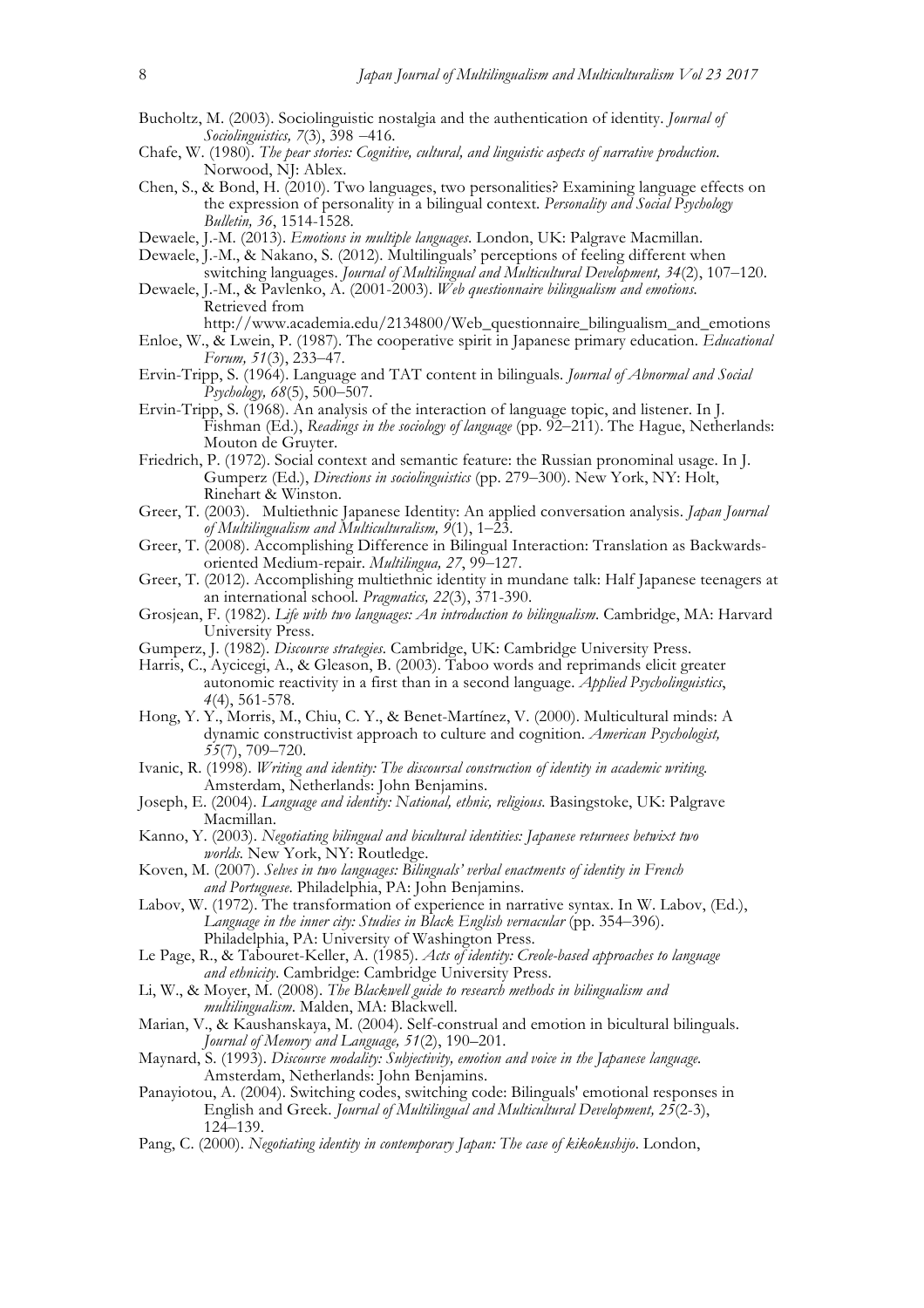- Bucholtz, M. (2003). Sociolinguistic nostalgia and the authentication of identity. *Journal of Sociolinguistics, 7*(3), 398 –416.
- Chafe, W. (1980). *The pear stories: Cognitive, cultural, and linguistic aspects of narrative production*. Norwood, NJ: Ablex.
- Chen, S., & Bond, H. (2010). Two languages, two personalities? Examining language effects on the expression of personality in a bilingual context. *Personality and Social Psychology Bulletin, 36*, 1514-1528.
- Dewaele, J.-M. (2013). *Emotions in multiple languages*. London, UK: Palgrave Macmillan.
- Dewaele, J.-M., & Nakano, S. (2012). Multilinguals' perceptions of feeling different when
- switching languages. *Journal of Multilingual and Multicultural Development, 34*(2), 107–120. Dewaele, J.-M., & Pavlenko, A. (2001-2003). *Web questionnaire bilingualism and emotions.*  Retrieved from
- http://www.academia.edu/2134800/Web\_questionnaire\_bilingualism\_and\_emotions Enloe, W., & Lwein, P. (1987). The cooperative spirit in Japanese primary education. *Educational Forum, 51*(3), 233–47.
- Ervin-Tripp, S. (1964). Language and TAT content in bilinguals. *Journal of Abnormal and Social Psychology, 68*(5), 500–507.
- Ervin-Tripp, S. (1968). An analysis of the interaction of language topic, and listener. In J. Fishman (Ed.), *Readings in the sociology of language* (pp. 92–211). The Hague, Netherlands: Mouton de Gruyter.
- Friedrich, P. (1972). Social context and semantic feature: the Russian pronominal usage. In J. Gumperz (Ed.), *Directions in sociolinguistics* (pp. 279–300). New York, NY: Holt, Rinehart & Winston.
- Greer, T. (2003). Multiethnic Japanese Identity: An applied conversation analysis. *Japan Journal of Multilingualism and Multiculturalism, 9*(1), 1–23.
- Greer, T. (2008). Accomplishing Difference in Bilingual Interaction: Translation as Backwardsoriented Medium-repair. *Multilingua, 27*, 99–127.
- Greer, T. (2012). Accomplishing multiethnic identity in mundane talk: Half Japanese teenagers at an international school. *Pragmatics, 22*(3), 371-390.
- Grosjean, F. (1982). *Life with two languages: An introduction to bilingualism*. Cambridge, MA: Harvard University Press.
- Gumperz, J. (1982). *Discourse strategies*. Cambridge, UK: Cambridge University Press.
- Harris, C., Aycicegi, A., & Gleason, B. (2003). Taboo words and reprimands elicit greater autonomic reactivity in a first than in a second language. *Applied Psycholinguistics*, *4*(4), 561-578.
- Hong, Y. Y., Morris, M., Chiu, C. Y., & Benet-Martínez, V. (2000). Multicultural minds: A dynamic constructivist approach to culture and cognition. *American Psychologist, 55*(7), 709–720.
- Ivanic, R. (1998). *Writing and identity: The discoursal construction of identity in academic writing.* Amsterdam, Netherlands: John Benjamins.
- Joseph, E. (2004). *Language and identity: National, ethnic, religious.* Basingstoke, UK: Palgrave Macmillan.
- Kanno, Y. (2003). *Negotiating bilingual and bicultural identities: Japanese returnees betwixt two worlds.* New York, NY: Routledge.
- Koven, M. (2007). *Selves in two languages: Bilinguals' verbal enactments of identity in French and Portuguese*. Philadelphia, PA: John Benjamins.
- Labov, W. (1972). The transformation of experience in narrative syntax. In W. Labov, (Ed.), *Language in the inner city: Studies in Black English vernacular* (pp. 354–396). Philadelphia, PA: University of Washington Press.
- Le Page, R., & Tabouret-Keller, A. (1985). *Acts of identity: Creole-based approaches to language and ethnicity*. Cambridge: Cambridge University Press.
- Li, W., & Moyer, M. (2008). *The Blackwell guide to research methods in bilingualism and multilingualism*. Malden, MA: Blackwell.
- Marian, V., & Kaushanskaya, M. (2004). Self-construal and emotion in bicultural bilinguals. *Journal of Memory and Language, 51*(2), 190–201.
- Maynard, S. (1993). *Discourse modality: Subjectivity, emotion and voice in the Japanese language.* Amsterdam, Netherlands: John Benjamins.
- Panayiotou, A. (2004). Switching codes, switching code: Bilinguals' emotional responses in English and Greek. *Journal of Multilingual and Multicultural Development, 25*(2-3), 124–139.
- Pang, C. (2000). *Negotiating identity in contemporary Japan: The case of kikokushijo*. London,